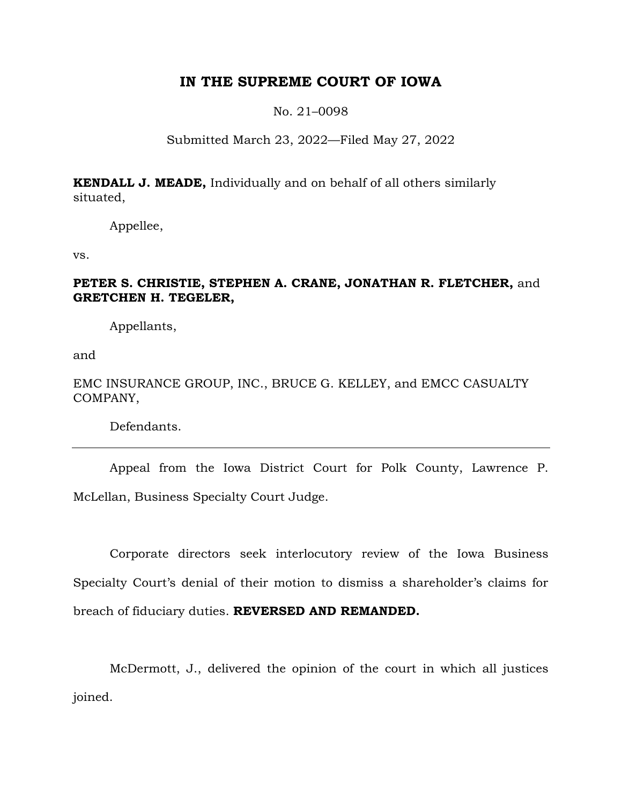# **IN THE SUPREME COURT OF IOWA**

No. 21–0098

## Submitted March 23, 2022—Filed May 27, 2022

**KENDALL J. MEADE,** Individually and on behalf of all others similarly situated,

Appellee,

vs.

## **PETER S. CHRISTIE, STEPHEN A. CRANE, JONATHAN R. FLETCHER,** and **GRETCHEN H. TEGELER,**

Appellants,

and

## EMC INSURANCE GROUP, INC., BRUCE G. KELLEY, and EMCC CASUALTY COMPANY,

Defendants.

Appeal from the Iowa District Court for Polk County, Lawrence P. McLellan, Business Specialty Court Judge.

Corporate directors seek interlocutory review of the Iowa Business Specialty Court's denial of their motion to dismiss a shareholder's claims for breach of fiduciary duties. **REVERSED AND REMANDED.**

McDermott, J., delivered the opinion of the court in which all justices joined.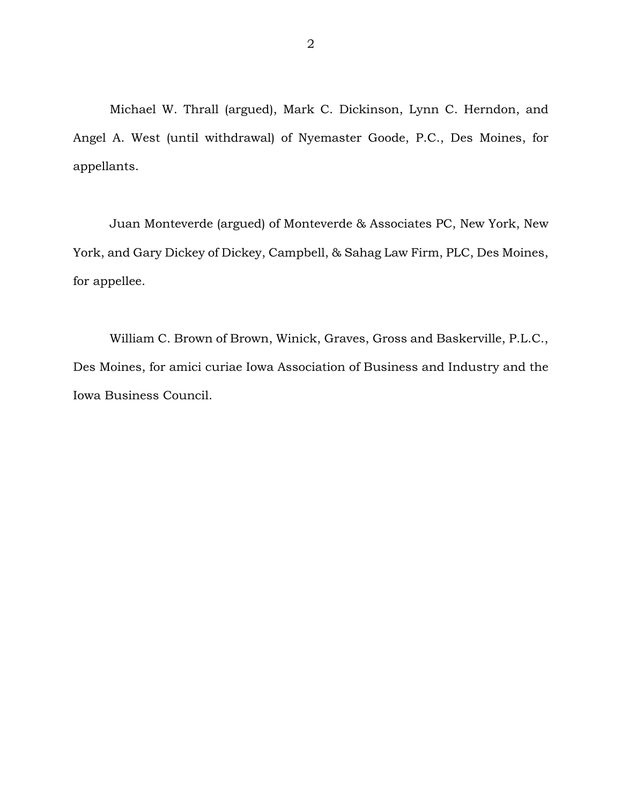Michael W. Thrall (argued), Mark C. Dickinson, Lynn C. Herndon, and Angel A. West (until withdrawal) of Nyemaster Goode, P.C., Des Moines, for appellants.

Juan Monteverde (argued) of Monteverde & Associates PC, New York, New York, and Gary Dickey of Dickey, Campbell, & Sahag Law Firm, PLC, Des Moines, for appellee.

William C. Brown of Brown, Winick, Graves, Gross and Baskerville, P.L.C., Des Moines, for amici curiae Iowa Association of Business and Industry and the Iowa Business Council.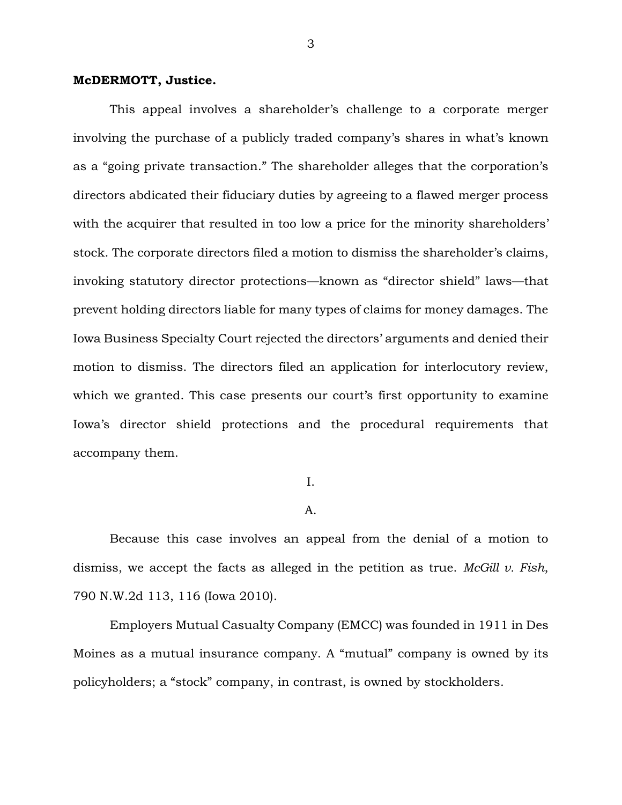### **McDERMOTT, Justice.**

This appeal involves a shareholder's challenge to a corporate merger involving the purchase of a publicly traded company's shares in what's known as a "going private transaction." The shareholder alleges that the corporation's directors abdicated their fiduciary duties by agreeing to a flawed merger process with the acquirer that resulted in too low a price for the minority shareholders' stock. The corporate directors filed a motion to dismiss the shareholder's claims, invoking statutory director protections—known as "director shield" laws—that prevent holding directors liable for many types of claims for money damages. The Iowa Business Specialty Court rejected the directors' arguments and denied their motion to dismiss. The directors filed an application for interlocutory review, which we granted. This case presents our court's first opportunity to examine Iowa's director shield protections and the procedural requirements that accompany them.

## I.

### A.

Because this case involves an appeal from the denial of a motion to dismiss, we accept the facts as alleged in the petition as true. *McGill v. Fish*, 790 N.W.2d 113, 116 (Iowa 2010).

Employers Mutual Casualty Company (EMCC) was founded in 1911 in Des Moines as a mutual insurance company. A "mutual" company is owned by its policyholders; a "stock" company, in contrast, is owned by stockholders.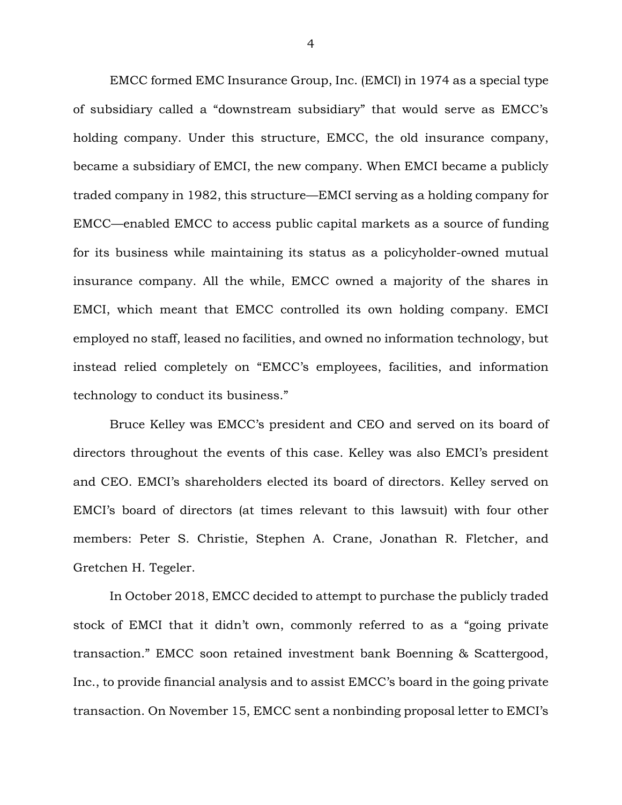EMCC formed EMC Insurance Group, Inc. (EMCI) in 1974 as a special type of subsidiary called a "downstream subsidiary" that would serve as EMCC's holding company. Under this structure, EMCC, the old insurance company, became a subsidiary of EMCI, the new company. When EMCI became a publicly traded company in 1982, this structure—EMCI serving as a holding company for EMCC—enabled EMCC to access public capital markets as a source of funding for its business while maintaining its status as a policyholder-owned mutual insurance company. All the while, EMCC owned a majority of the shares in EMCI, which meant that EMCC controlled its own holding company. EMCI employed no staff, leased no facilities, and owned no information technology, but instead relied completely on "EMCC's employees, facilities, and information technology to conduct its business."

Bruce Kelley was EMCC's president and CEO and served on its board of directors throughout the events of this case. Kelley was also EMCI's president and CEO. EMCI's shareholders elected its board of directors. Kelley served on EMCI's board of directors (at times relevant to this lawsuit) with four other members: Peter S. Christie, Stephen A. Crane, Jonathan R. Fletcher, and Gretchen H. Tegeler.

In October 2018, EMCC decided to attempt to purchase the publicly traded stock of EMCI that it didn't own, commonly referred to as a "going private transaction." EMCC soon retained investment bank Boenning & Scattergood, Inc., to provide financial analysis and to assist EMCC's board in the going private transaction. On November 15, EMCC sent a nonbinding proposal letter to EMCI's

4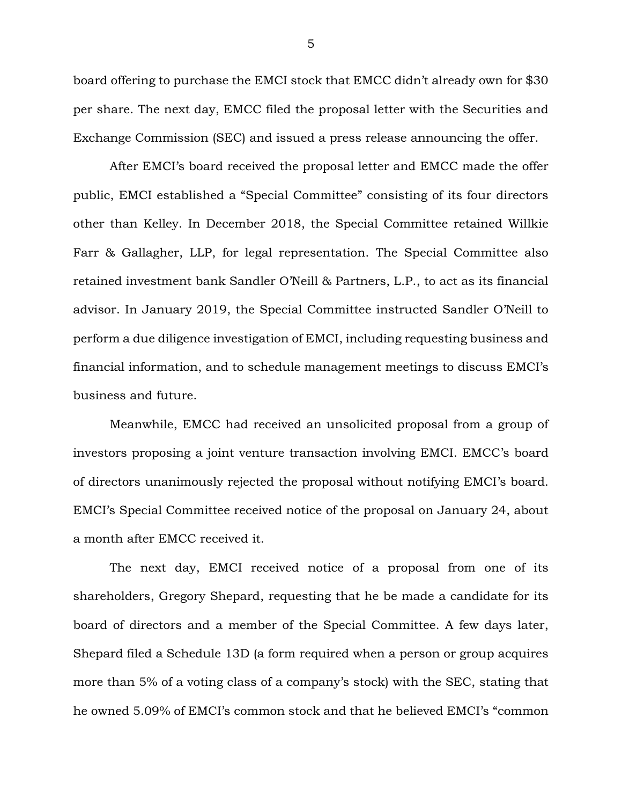board offering to purchase the EMCI stock that EMCC didn't already own for \$30 per share. The next day, EMCC filed the proposal letter with the Securities and Exchange Commission (SEC) and issued a press release announcing the offer.

After EMCI's board received the proposal letter and EMCC made the offer public, EMCI established a "Special Committee" consisting of its four directors other than Kelley. In December 2018, the Special Committee retained Willkie Farr & Gallagher, LLP, for legal representation. The Special Committee also retained investment bank Sandler O'Neill & Partners, L.P., to act as its financial advisor. In January 2019, the Special Committee instructed Sandler O'Neill to perform a due diligence investigation of EMCI, including requesting business and financial information, and to schedule management meetings to discuss EMCI's business and future.

Meanwhile, EMCC had received an unsolicited proposal from a group of investors proposing a joint venture transaction involving EMCI. EMCC's board of directors unanimously rejected the proposal without notifying EMCI's board. EMCI's Special Committee received notice of the proposal on January 24, about a month after EMCC received it.

The next day, EMCI received notice of a proposal from one of its shareholders, Gregory Shepard, requesting that he be made a candidate for its board of directors and a member of the Special Committee. A few days later, Shepard filed a Schedule 13D (a form required when a person or group acquires more than 5% of a voting class of a company's stock) with the SEC, stating that he owned 5.09% of EMCI's common stock and that he believed EMCI's "common

5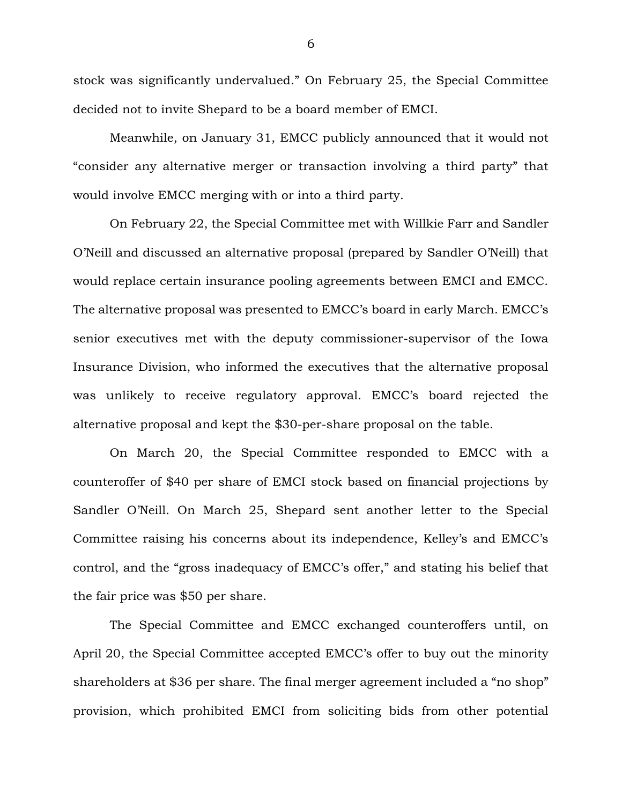stock was significantly undervalued." On February 25, the Special Committee decided not to invite Shepard to be a board member of EMCI.

Meanwhile, on January 31, EMCC publicly announced that it would not "consider any alternative merger or transaction involving a third party" that would involve EMCC merging with or into a third party.

On February 22, the Special Committee met with Willkie Farr and Sandler O'Neill and discussed an alternative proposal (prepared by Sandler O'Neill) that would replace certain insurance pooling agreements between EMCI and EMCC. The alternative proposal was presented to EMCC's board in early March. EMCC's senior executives met with the deputy commissioner-supervisor of the Iowa Insurance Division, who informed the executives that the alternative proposal was unlikely to receive regulatory approval. EMCC's board rejected the alternative proposal and kept the \$30-per-share proposal on the table.

On March 20, the Special Committee responded to EMCC with a counteroffer of \$40 per share of EMCI stock based on financial projections by Sandler O'Neill. On March 25, Shepard sent another letter to the Special Committee raising his concerns about its independence, Kelley's and EMCC's control, and the "gross inadequacy of EMCC's offer," and stating his belief that the fair price was \$50 per share.

The Special Committee and EMCC exchanged counteroffers until, on April 20, the Special Committee accepted EMCC's offer to buy out the minority shareholders at \$36 per share. The final merger agreement included a "no shop" provision, which prohibited EMCI from soliciting bids from other potential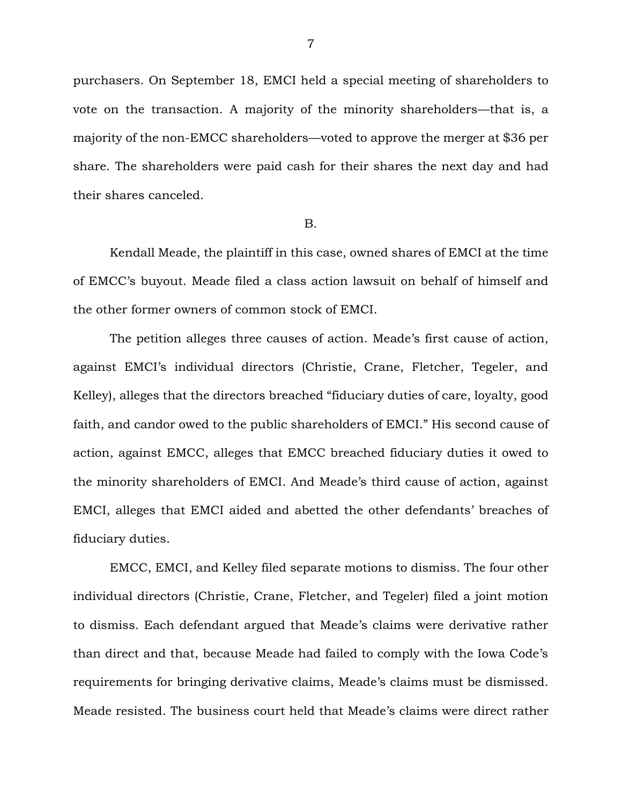purchasers. On September 18, EMCI held a special meeting of shareholders to vote on the transaction. A majority of the minority shareholders—that is, a majority of the non-EMCC shareholders—voted to approve the merger at \$36 per share. The shareholders were paid cash for their shares the next day and had their shares canceled.

### B.

Kendall Meade, the plaintiff in this case, owned shares of EMCI at the time of EMCC's buyout. Meade filed a class action lawsuit on behalf of himself and the other former owners of common stock of EMCI.

The petition alleges three causes of action. Meade's first cause of action, against EMCI's individual directors (Christie, Crane, Fletcher, Tegeler, and Kelley), alleges that the directors breached "fiduciary duties of care, loyalty, good faith, and candor owed to the public shareholders of EMCI." His second cause of action, against EMCC, alleges that EMCC breached fiduciary duties it owed to the minority shareholders of EMCI. And Meade's third cause of action, against EMCI, alleges that EMCI aided and abetted the other defendants' breaches of fiduciary duties.

EMCC, EMCI, and Kelley filed separate motions to dismiss. The four other individual directors (Christie, Crane, Fletcher, and Tegeler) filed a joint motion to dismiss. Each defendant argued that Meade's claims were derivative rather than direct and that, because Meade had failed to comply with the Iowa Code's requirements for bringing derivative claims, Meade's claims must be dismissed. Meade resisted. The business court held that Meade's claims were direct rather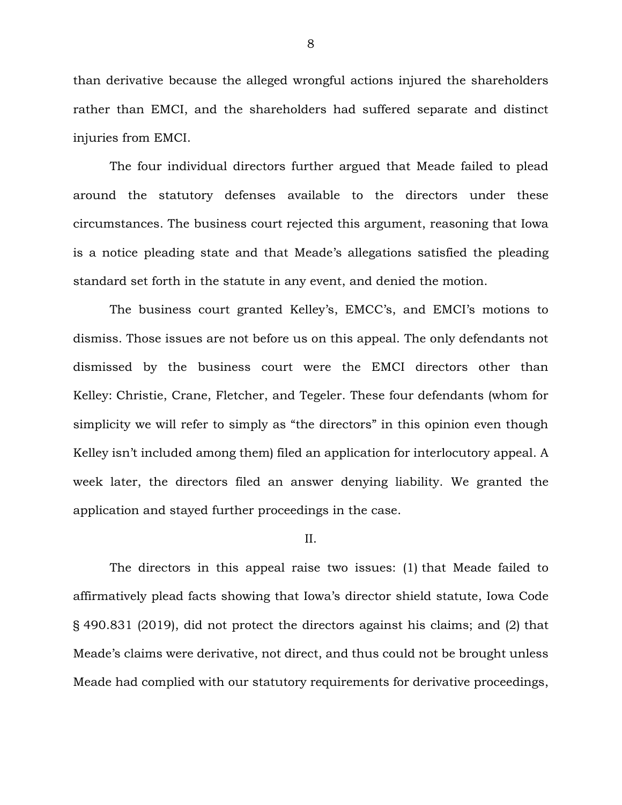than derivative because the alleged wrongful actions injured the shareholders rather than EMCI, and the shareholders had suffered separate and distinct injuries from EMCI.

The four individual directors further argued that Meade failed to plead around the statutory defenses available to the directors under these circumstances. The business court rejected this argument, reasoning that Iowa is a notice pleading state and that Meade's allegations satisfied the pleading standard set forth in the statute in any event, and denied the motion.

The business court granted Kelley's, EMCC's, and EMCI's motions to dismiss. Those issues are not before us on this appeal. The only defendants not dismissed by the business court were the EMCI directors other than Kelley: Christie, Crane, Fletcher, and Tegeler. These four defendants (whom for simplicity we will refer to simply as "the directors" in this opinion even though Kelley isn't included among them) filed an application for interlocutory appeal. A week later, the directors filed an answer denying liability. We granted the application and stayed further proceedings in the case.

II.

The directors in this appeal raise two issues: (1) that Meade failed to affirmatively plead facts showing that Iowa's director shield statute, Iowa Code § 490.831 (2019), did not protect the directors against his claims; and (2) that Meade's claims were derivative, not direct, and thus could not be brought unless Meade had complied with our statutory requirements for derivative proceedings,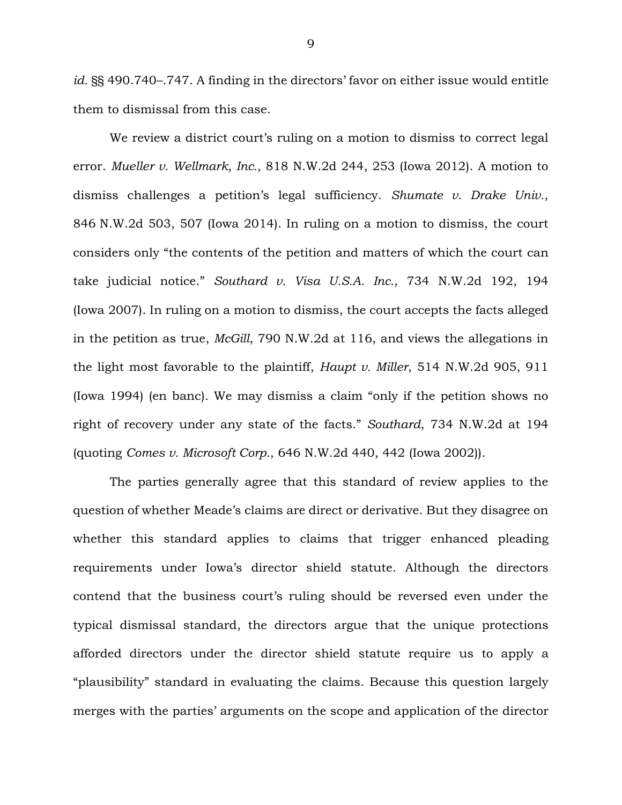*id.* §§ 490.740–.747. A finding in the directors' favor on either issue would entitle them to dismissal from this case.

We review a district court's ruling on a motion to dismiss to correct legal error. *Mueller v. Wellmark, Inc.*, 818 N.W.2d 244, 253 (Iowa 2012). A motion to dismiss challenges a petition's legal sufficiency. *Shumate v. Drake Univ.*, 846 N.W.2d 503, 507 (Iowa 2014). In ruling on a motion to dismiss, the court considers only "the contents of the petition and matters of which the court can take judicial notice." *Southard v. Visa U.S.A. Inc.*, 734 N.W.2d 192, 194 (Iowa 2007). In ruling on a motion to dismiss, the court accepts the facts alleged in the petition as true, *McGill*, 790 N.W.2d at 116, and views the allegations in the light most favorable to the plaintiff, *Haupt v. Miller*, 514 N.W.2d 905, 911 (Iowa 1994) (en banc). We may dismiss a claim "only if the petition shows no right of recovery under any state of the facts." *Southard*, 734 N.W.2d at 194 (quoting *Comes v. Microsoft Corp.*, 646 N.W.2d 440, 442 (Iowa 2002)).

The parties generally agree that this standard of review applies to the question of whether Meade's claims are direct or derivative. But they disagree on whether this standard applies to claims that trigger enhanced pleading requirements under Iowa's director shield statute. Although the directors contend that the business court's ruling should be reversed even under the typical dismissal standard, the directors argue that the unique protections afforded directors under the director shield statute require us to apply a "plausibility" standard in evaluating the claims. Because this question largely merges with the parties' arguments on the scope and application of the director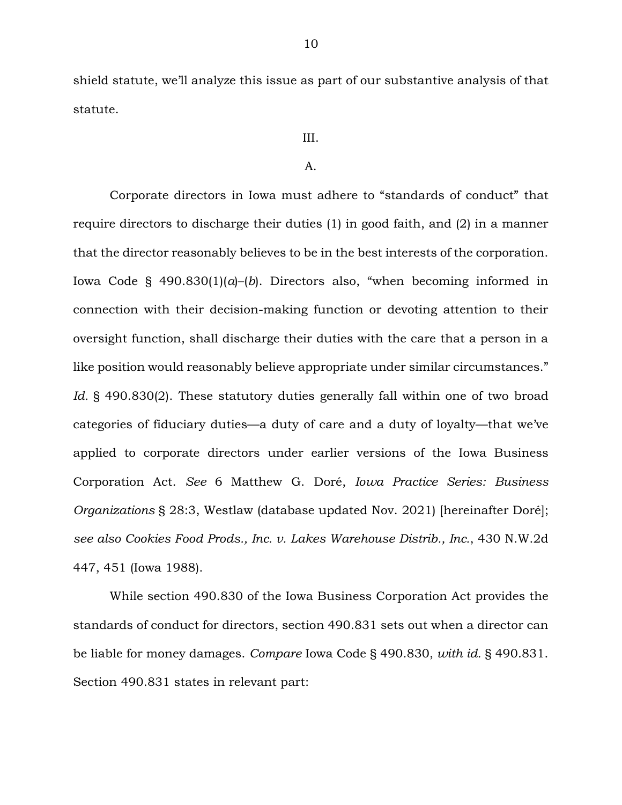shield statute, we'll analyze this issue as part of our substantive analysis of that statute.

### III.

### A.

Corporate directors in Iowa must adhere to "standards of conduct" that require directors to discharge their duties (1) in good faith, and (2) in a manner that the director reasonably believes to be in the best interests of the corporation. Iowa Code  $\S$  490.830(1)(*a*)–(*b*). Directors also, "when becoming informed in connection with their decision-making function or devoting attention to their oversight function, shall discharge their duties with the care that a person in a like position would reasonably believe appropriate under similar circumstances." *Id.* § 490.830(2). These statutory duties generally fall within one of two broad categories of fiduciary duties—a duty of care and a duty of loyalty—that we've applied to corporate directors under earlier versions of the Iowa Business Corporation Act. *See* 6 Matthew G. Doré, *Iowa Practice Series: Business Organizations* § 28:3, Westlaw (database updated Nov. 2021) [hereinafter Doré]; *see also Cookies Food Prods., Inc. v. Lakes Warehouse Distrib., Inc.*, 430 N.W.2d 447, 451 (Iowa 1988).

While section 490.830 of the Iowa Business Corporation Act provides the standards of conduct for directors, section 490.831 sets out when a director can be liable for money damages. *Compare* Iowa Code § 490.830, *with id.* § 490.831. Section 490.831 states in relevant part: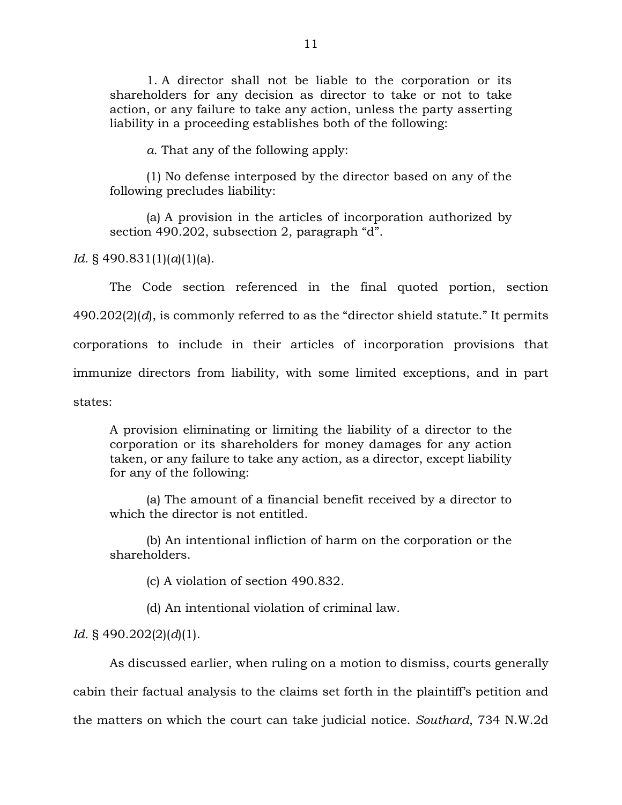1. A director shall not be liable to the corporation or its shareholders for any decision as director to take or not to take action, or any failure to take any action, unless the party asserting liability in a proceeding establishes both of the following:

*a.* That any of the following apply:

(1) No defense interposed by the director based on any of the following precludes liability:

(a) A provision in the articles of incorporation authorized by section 490.202, subsection 2, paragraph "d".

*Id.* § 490.831(1)(*a*)(1)(a).

The Code section referenced in the final quoted portion, section 490.202(2)(*d*), is commonly referred to as the "director shield statute." It permits corporations to include in their articles of incorporation provisions that immunize directors from liability, with some limited exceptions, and in part states:

A provision eliminating or limiting the liability of a director to the corporation or its shareholders for money damages for any action taken, or any failure to take any action, as a director, except liability for any of the following:

(a) The amount of a financial benefit received by a director to which the director is not entitled.

(b) An intentional infliction of harm on the corporation or the shareholders.

(c) A violation of section 490.832.

(d) An intentional violation of criminal law.

*Id.* § 490.202(2)(*d*)(1).

As discussed earlier, when ruling on a motion to dismiss, courts generally cabin their factual analysis to the claims set forth in the plaintiff's petition and the matters on which the court can take judicial notice. *Southard*, 734 N.W.2d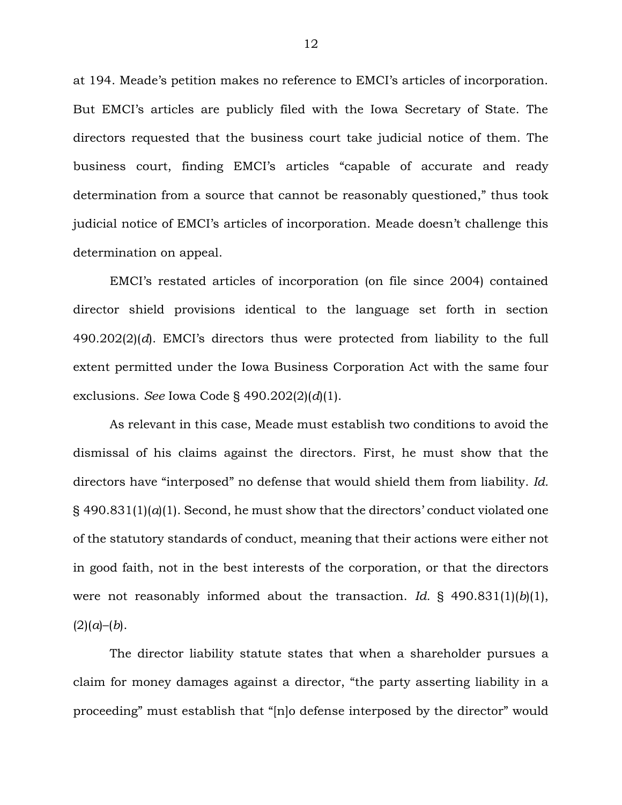at 194. Meade's petition makes no reference to EMCI's articles of incorporation. But EMCI's articles are publicly filed with the Iowa Secretary of State. The directors requested that the business court take judicial notice of them. The business court, finding EMCI's articles "capable of accurate and ready determination from a source that cannot be reasonably questioned," thus took judicial notice of EMCI's articles of incorporation. Meade doesn't challenge this determination on appeal.

EMCI's restated articles of incorporation (on file since 2004) contained director shield provisions identical to the language set forth in section 490.202(2)(*d*). EMCI's directors thus were protected from liability to the full extent permitted under the Iowa Business Corporation Act with the same four exclusions. *See* Iowa Code § 490.202(2)(*d*)(1).

As relevant in this case, Meade must establish two conditions to avoid the dismissal of his claims against the directors. First, he must show that the directors have "interposed" no defense that would shield them from liability. *Id.*   $\S$  490.831(1)( $a$ (1). Second, he must show that the directors' conduct violated one of the statutory standards of conduct, meaning that their actions were either not in good faith, not in the best interests of the corporation, or that the directors were not reasonably informed about the transaction. *Id.* § 490.831(1)(*b*)(1),  $(2)(a)-(b)$ .

The director liability statute states that when a shareholder pursues a claim for money damages against a director, "the party asserting liability in a proceeding" must establish that "[n]o defense interposed by the director" would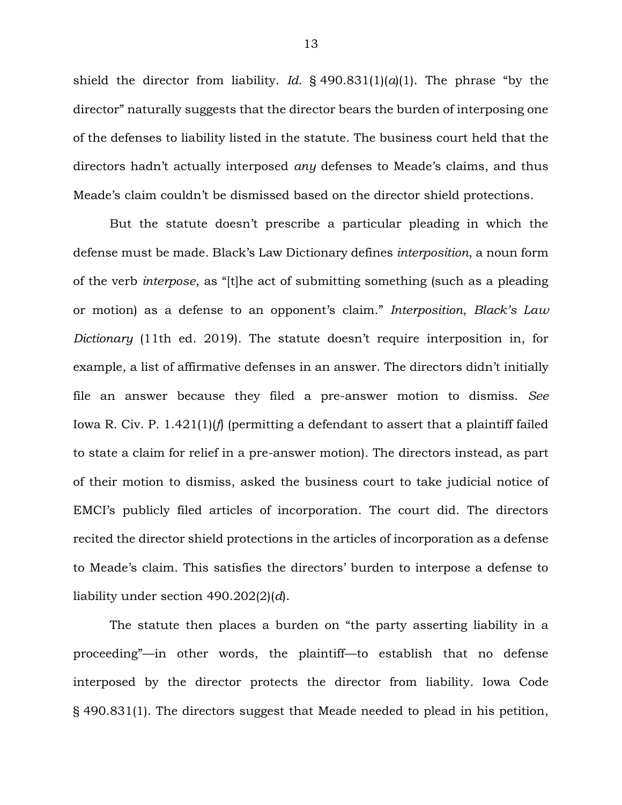shield the director from liability. *Id.* § 490.831(1)(*a*)(1). The phrase "by the director" naturally suggests that the director bears the burden of interposing one of the defenses to liability listed in the statute. The business court held that the directors hadn't actually interposed *any* defenses to Meade's claims, and thus Meade's claim couldn't be dismissed based on the director shield protections.

But the statute doesn't prescribe a particular pleading in which the defense must be made. Black's Law Dictionary defines *interposition*, a noun form of the verb *interpose*, as "[t]he act of submitting something (such as a pleading or motion) as a defense to an opponent's claim." *Interposition*, *Black's Law Dictionary* (11th ed. 2019). The statute doesn't require interposition in, for example, a list of affirmative defenses in an answer. The directors didn't initially file an answer because they filed a pre-answer motion to dismiss. *See*  Iowa R. Civ. P. 1.421(1)(*f*) (permitting a defendant to assert that a plaintiff failed to state a claim for relief in a pre-answer motion). The directors instead, as part of their motion to dismiss, asked the business court to take judicial notice of EMCI's publicly filed articles of incorporation. The court did. The directors recited the director shield protections in the articles of incorporation as a defense to Meade's claim. This satisfies the directors' burden to interpose a defense to liability under section 490.202(2)(*d*).

The statute then places a burden on "the party asserting liability in a proceeding"—in other words, the plaintiff—to establish that no defense interposed by the director protects the director from liability. Iowa Code § 490.831(1). The directors suggest that Meade needed to plead in his petition,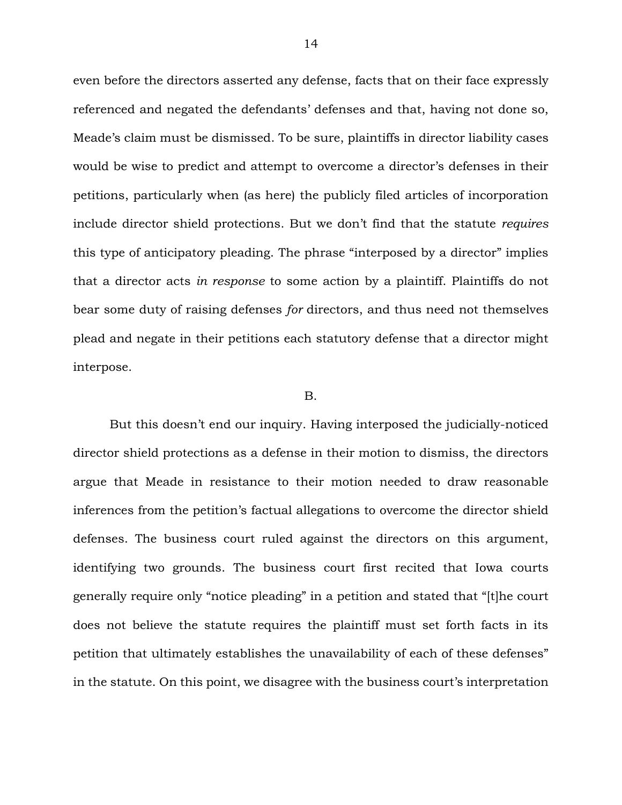even before the directors asserted any defense, facts that on their face expressly referenced and negated the defendants' defenses and that, having not done so, Meade's claim must be dismissed. To be sure, plaintiffs in director liability cases would be wise to predict and attempt to overcome a director's defenses in their petitions, particularly when (as here) the publicly filed articles of incorporation include director shield protections. But we don't find that the statute *requires* this type of anticipatory pleading. The phrase "interposed by a director" implies that a director acts *in response* to some action by a plaintiff. Plaintiffs do not bear some duty of raising defenses *for* directors, and thus need not themselves plead and negate in their petitions each statutory defense that a director might interpose.

#### B.

But this doesn't end our inquiry. Having interposed the judicially-noticed director shield protections as a defense in their motion to dismiss, the directors argue that Meade in resistance to their motion needed to draw reasonable inferences from the petition's factual allegations to overcome the director shield defenses. The business court ruled against the directors on this argument, identifying two grounds. The business court first recited that Iowa courts generally require only "notice pleading" in a petition and stated that "[t]he court does not believe the statute requires the plaintiff must set forth facts in its petition that ultimately establishes the unavailability of each of these defenses" in the statute. On this point, we disagree with the business court's interpretation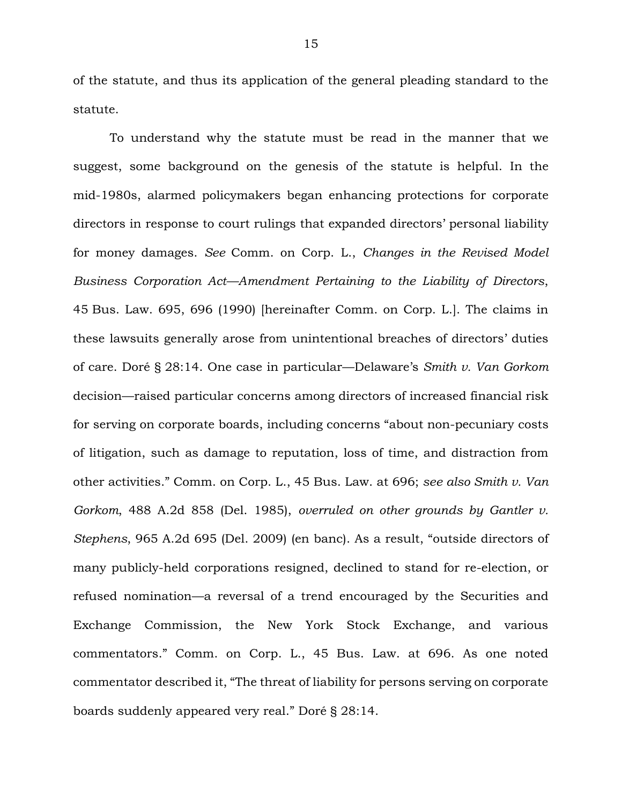of the statute, and thus its application of the general pleading standard to the statute.

To understand why the statute must be read in the manner that we suggest, some background on the genesis of the statute is helpful. In the mid-1980s, alarmed policymakers began enhancing protections for corporate directors in response to court rulings that expanded directors' personal liability for money damages. *See* Comm. on Corp. L., *Changes in the Revised Model Business Corporation Act—Amendment Pertaining to the Liability of Directors*, 45 Bus. Law. 695, 696 (1990) [hereinafter Comm. on Corp. L.]. The claims in these lawsuits generally arose from unintentional breaches of directors' duties of care. Doré § 28:14. One case in particular—Delaware's *Smith v. Van Gorkom*  decision—raised particular concerns among directors of increased financial risk for serving on corporate boards, including concerns "about non-pecuniary costs of litigation, such as damage to reputation, loss of time, and distraction from other activities." Comm. on Corp. L., 45 Bus. Law. at 696; *see also Smith v. Van Gorkom*, 488 A.2d 858 (Del. 1985), *overruled on other grounds by Gantler v. Stephens*, 965 A.2d 695 (Del. 2009) (en banc). As a result, "outside directors of many publicly-held corporations resigned, declined to stand for re-election, or refused nomination—a reversal of a trend encouraged by the Securities and Exchange Commission, the New York Stock Exchange, and various commentators." Comm. on Corp. L., 45 Bus. Law. at 696. As one noted commentator described it, "The threat of liability for persons serving on corporate boards suddenly appeared very real." Doré § 28:14.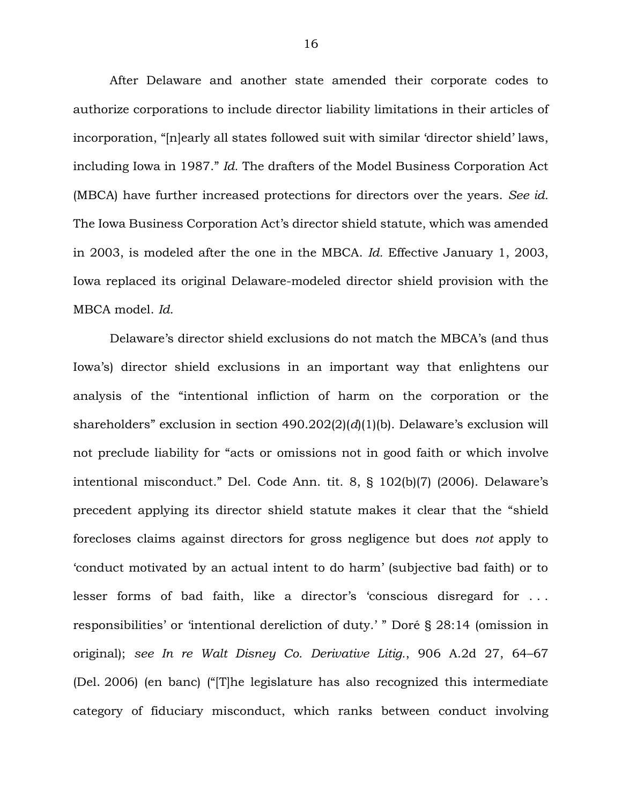After Delaware and another state amended their corporate codes to authorize corporations to include director liability limitations in their articles of incorporation, "[n]early all states followed suit with similar 'director shield' laws, including Iowa in 1987." *Id.* The drafters of the Model Business Corporation Act (MBCA) have further increased protections for directors over the years. *See id.*  The Iowa Business Corporation Act's director shield statute, which was amended in 2003, is modeled after the one in the MBCA. *Id.* Effective January 1, 2003, Iowa replaced its original Delaware-modeled director shield provision with the MBCA model. *Id.*

Delaware's director shield exclusions do not match the MBCA's (and thus Iowa's) director shield exclusions in an important way that enlightens our analysis of the "intentional infliction of harm on the corporation or the shareholders" exclusion in section 490.202(2)(*d*)(1)(b). Delaware's exclusion will not preclude liability for "acts or omissions not in good faith or which involve intentional misconduct." Del. Code Ann. tit. 8, § 102(b)(7) (2006). Delaware's precedent applying its director shield statute makes it clear that the "shield forecloses claims against directors for gross negligence but does *not* apply to 'conduct motivated by an actual intent to do harm' (subjective bad faith) or to lesser forms of bad faith, like a director's 'conscious disregard for . . . responsibilities' or 'intentional dereliction of duty.' " Doré § 28:14 (omission in original); *see In re Walt Disney Co. Derivative Litig.*, 906 A.2d 27, 64–67 (Del. 2006) (en banc) ("[T]he legislature has also recognized this intermediate category of fiduciary misconduct, which ranks between conduct involving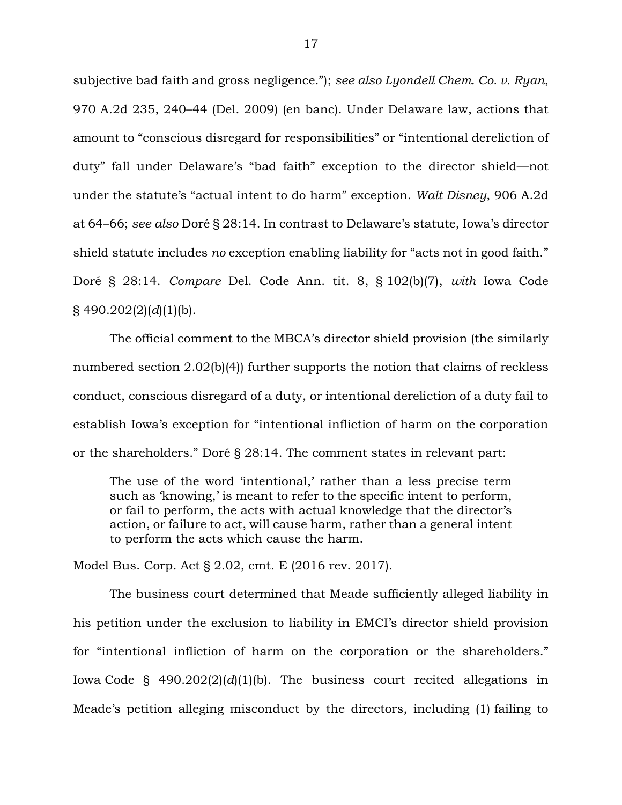subjective bad faith and gross negligence."); *see also Lyondell Chem. Co. v. Ryan*, 970 A.2d 235, 240–44 (Del. 2009) (en banc). Under Delaware law, actions that amount to "conscious disregard for responsibilities" or "intentional dereliction of duty" fall under Delaware's "bad faith" exception to the director shield—not under the statute's "actual intent to do harm" exception. *Walt Disney*, 906 A.2d at 64–66; *see also* Doré § 28:14. In contrast to Delaware's statute, Iowa's director shield statute includes *no* exception enabling liability for "acts not in good faith." Doré § 28:14. *Compare* Del. Code Ann. tit. 8, § 102(b)(7), *with* Iowa Code § 490.202(2)(*d*)(1)(b).

The official comment to the MBCA's director shield provision (the similarly numbered section 2.02(b)(4)) further supports the notion that claims of reckless conduct, conscious disregard of a duty, or intentional dereliction of a duty fail to establish Iowa's exception for "intentional infliction of harm on the corporation or the shareholders." Doré § 28:14. The comment states in relevant part:

The use of the word 'intentional,' rather than a less precise term such as 'knowing,' is meant to refer to the specific intent to perform, or fail to perform, the acts with actual knowledge that the director's action, or failure to act, will cause harm, rather than a general intent to perform the acts which cause the harm.

Model Bus. Corp. Act § 2.02, cmt. E (2016 rev. 2017).

The business court determined that Meade sufficiently alleged liability in his petition under the exclusion to liability in EMCI's director shield provision for "intentional infliction of harm on the corporation or the shareholders." Iowa Code § 490.202(2)(*d*)(1)(b). The business court recited allegations in Meade's petition alleging misconduct by the directors, including (1) failing to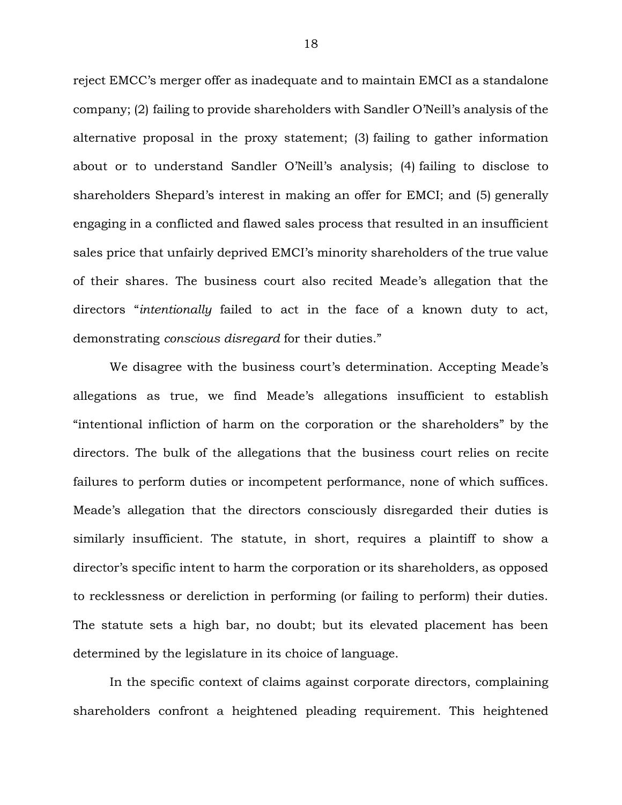reject EMCC's merger offer as inadequate and to maintain EMCI as a standalone company; (2) failing to provide shareholders with Sandler O'Neill's analysis of the alternative proposal in the proxy statement; (3) failing to gather information about or to understand Sandler O'Neill's analysis; (4) failing to disclose to shareholders Shepard's interest in making an offer for EMCI; and (5) generally engaging in a conflicted and flawed sales process that resulted in an insufficient sales price that unfairly deprived EMCI's minority shareholders of the true value of their shares. The business court also recited Meade's allegation that the directors "*intentionally* failed to act in the face of a known duty to act, demonstrating *conscious disregard* for their duties."

We disagree with the business court's determination. Accepting Meade's allegations as true, we find Meade's allegations insufficient to establish "intentional infliction of harm on the corporation or the shareholders" by the directors. The bulk of the allegations that the business court relies on recite failures to perform duties or incompetent performance, none of which suffices. Meade's allegation that the directors consciously disregarded their duties is similarly insufficient. The statute, in short, requires a plaintiff to show a director's specific intent to harm the corporation or its shareholders, as opposed to recklessness or dereliction in performing (or failing to perform) their duties. The statute sets a high bar, no doubt; but its elevated placement has been determined by the legislature in its choice of language.

In the specific context of claims against corporate directors, complaining shareholders confront a heightened pleading requirement. This heightened

18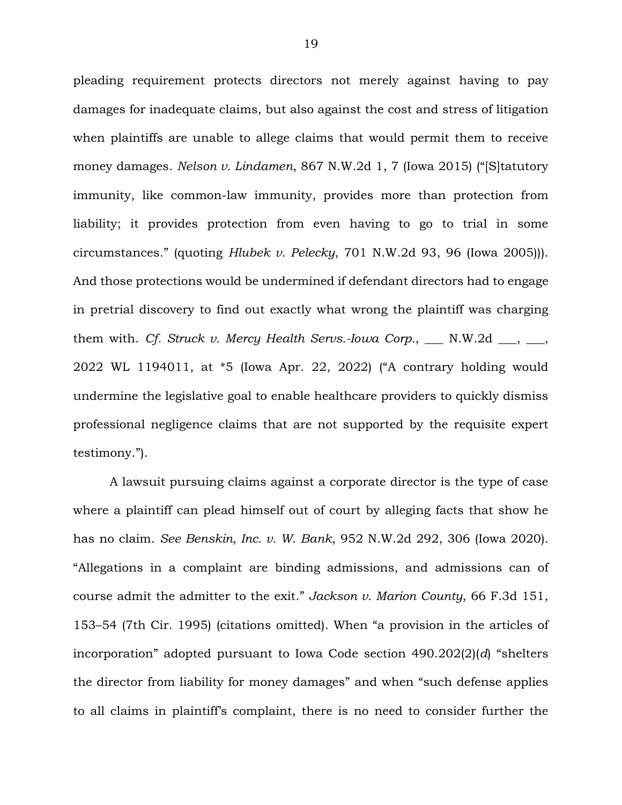pleading requirement protects directors not merely against having to pay damages for inadequate claims, but also against the cost and stress of litigation when plaintiffs are unable to allege claims that would permit them to receive money damages. *Nelson v. Lindamen*, 867 N.W.2d 1, 7 (Iowa 2015) ("[S]tatutory immunity, like common-law immunity, provides more than protection from liability; it provides protection from even having to go to trial in some circumstances." (quoting *Hlubek v. Pelecky*, 701 N.W.2d 93, 96 (Iowa 2005))). And those protections would be undermined if defendant directors had to engage in pretrial discovery to find out exactly what wrong the plaintiff was charging them with. *Cf. Struck v. Mercy Health Servs.-Iowa Corp.*, \_\_\_ N.W.2d \_\_\_, \_\_\_, 2022 WL 1194011, at \*5 (Iowa Apr. 22, 2022) ("A contrary holding would undermine the legislative goal to enable healthcare providers to quickly dismiss professional negligence claims that are not supported by the requisite expert testimony.").

A lawsuit pursuing claims against a corporate director is the type of case where a plaintiff can plead himself out of court by alleging facts that show he has no claim. *See Benskin, Inc. v. W. Bank*, 952 N.W.2d 292, 306 (Iowa 2020). "Allegations in a complaint are binding admissions, and admissions can of course admit the admitter to the exit." *Jackson v. Marion County*, 66 F.3d 151, 153–54 (7th Cir. 1995) (citations omitted). When "a provision in the articles of incorporation" adopted pursuant to Iowa Code section 490.202(2)(*d*) "shelters the director from liability for money damages" and when "such defense applies to all claims in plaintiff's complaint, there is no need to consider further the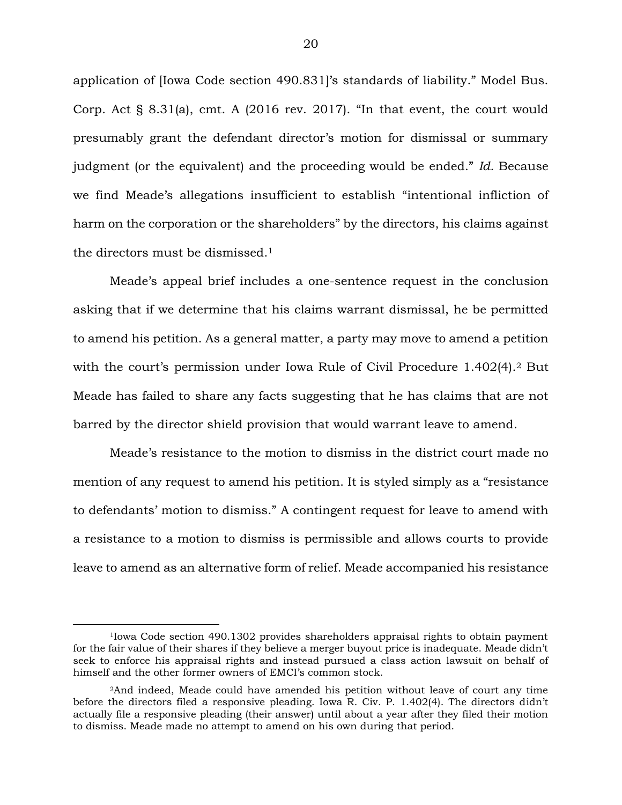application of [Iowa Code section 490.831]'s standards of liability." Model Bus. Corp. Act § 8.31(a), cmt. A (2016 rev. 2017). "In that event, the court would presumably grant the defendant director's motion for dismissal or summary judgment (or the equivalent) and the proceeding would be ended." *Id.* Because we find Meade's allegations insufficient to establish "intentional infliction of harm on the corporation or the shareholders" by the directors, his claims against the directors must be dismissed.<sup>1</sup>

Meade's appeal brief includes a one-sentence request in the conclusion asking that if we determine that his claims warrant dismissal, he be permitted to amend his petition. As a general matter, a party may move to amend a petition with the court's permission under Iowa Rule of Civil Procedure 1.402(4).<sup>2</sup> But Meade has failed to share any facts suggesting that he has claims that are not barred by the director shield provision that would warrant leave to amend.

Meade's resistance to the motion to dismiss in the district court made no mention of any request to amend his petition. It is styled simply as a "resistance to defendants' motion to dismiss." A contingent request for leave to amend with a resistance to a motion to dismiss is permissible and allows courts to provide leave to amend as an alternative form of relief. Meade accompanied his resistance

 $\overline{a}$ 

<sup>1</sup>Iowa Code section 490.1302 provides shareholders appraisal rights to obtain payment for the fair value of their shares if they believe a merger buyout price is inadequate. Meade didn't seek to enforce his appraisal rights and instead pursued a class action lawsuit on behalf of himself and the other former owners of EMCI's common stock.

<sup>2</sup>And indeed, Meade could have amended his petition without leave of court any time before the directors filed a responsive pleading. Iowa R. Civ. P. 1.402(4). The directors didn't actually file a responsive pleading (their answer) until about a year after they filed their motion to dismiss. Meade made no attempt to amend on his own during that period.